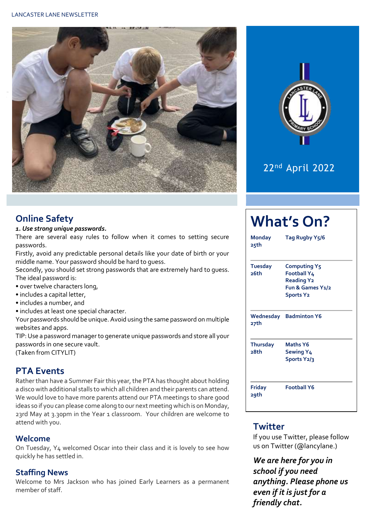



## 22<sup>nd</sup> April 2022

#### **Online Safety**

#### *1. Use strong unique passwords.*

There are several easy rules to follow when it comes to setting secure passwords.

Firstly, avoid any predictable personal details like your date of birth or your middle name. Your password should be hard to guess.

Secondly, you should set strong passwords that are extremely hard to guess. The ideal password is:

- over twelve characters long,
- includes a capital letter,
- includes a number, and
- includes at least one special character.

Your passwords should be unique. Avoid using the same password on multiple websites and apps.

TIP: Use a password manager to generate unique passwords and store all your passwords in one secure vault.

(Taken from CITYLIT)

#### **PTA Events**

Rather than have a Summer Fair this year, the PTA has thought about holding a disco with additional stalls to which all children and their parents can attend. We would love to have more parents attend our PTA meetings to share good ideas so if you can please come along to our next meeting which is on Monday, 23rd May at 3.30pm in the Year 1 classroom. Your children are welcome to attend with you.

#### **Welcome**

On Tuesday, Y4 welcomed Oscar into their class and it is lovely to see how quickly he has settled in.

#### **Staffing News**

Welcome to Mrs Jackson who has joined Early Learners as a permanent member of staff.

| <b>Monday</b><br>25th   | Tag Rugby Y <sub>5</sub> /6                                                                     |  |  |  |
|-------------------------|-------------------------------------------------------------------------------------------------|--|--|--|
| <b>Tuesday</b><br>26th  | <b>Computing Y5</b><br>Football Y4<br><b>Reading Y2</b><br>Fun & Games Y1/2<br><b>Sports Y2</b> |  |  |  |
| 27th                    | <b>Wednesday</b> Badminton Y6                                                                   |  |  |  |
| <b>Thursday</b><br>28th | <b>Maths Y6</b><br><b>Sewing Y4</b><br>Sports Y2/3                                              |  |  |  |
| Friday<br>29th          | <b>Football Y6</b>                                                                              |  |  |  |

#### **Twitter**

If you use Twitter, please follow us on Twitter (@lancylane.)

*We are here for you in school if you need anything. Please phone us even if it is just for a friendly chat.*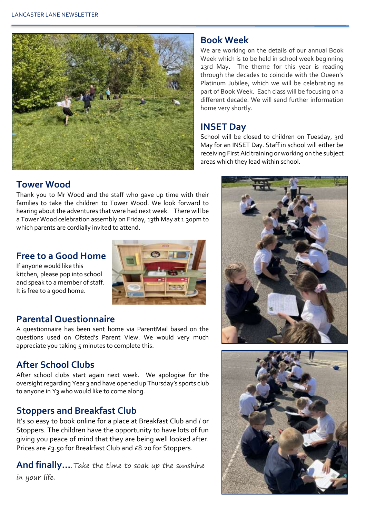

#### **Book Week**

We are working on the details of our annual Book Week which is to be held in school week beginning 23rd May. The theme for this year is reading through the decades to coincide with the Queen's Platinum Jubilee, which we will be celebrating as part of Book Week. Each class will be focusing on a different decade. We will send further information home very shortly.

#### **INSET Day**

School will be closed to children on Tuesday, 3rd May for an INSET Day. Staff in school will either be receiving First Aid training or working on the subject areas which they lead within school.

#### **Tower Wood**

Thank you to Mr Wood and the staff who gave up time with their families to take the children to Tower Wood. We look forward to hearing about the adventures that were had next week. There will be a Tower Wood celebration assembly on Friday, 13th May at 1.30pm to which parents are cordially invited to attend.

#### **Free to a Good Home**

If anyone would like this kitchen, please pop into school and speak to a member of staff. It is free to a good home.



#### **Parental Questionnaire**

A questionnaire has been sent home via ParentMail based on the questions used on Ofsted's Parent View. We would very much appreciate you taking  $5$  minutes to complete this.

### **After School Clubs**

After school clubs start again next week. We apologise for the oversight regarding Year 3 and have opened up Thursday's sports club to anyone in Y<sub>3</sub> who would like to come along.

### **Stoppers and Breakfast Club**

It's so easy to book online for a place at Breakfast Club and / or Stoppers. The children have the opportunity to have lots of fun giving you peace of mind that they are being well looked after. Prices are £3.50 for Breakfast Club and £8.20 for Stoppers.

**And finally…**. Take the time to soak up the sunshine in your life.